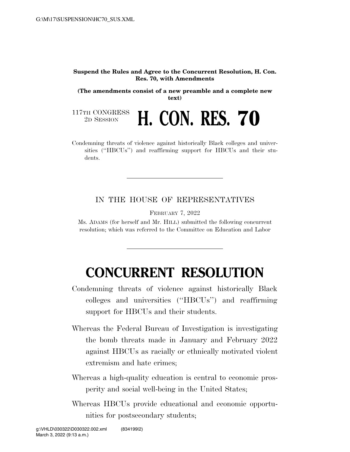## **Suspend the Rules and Agree to the Concurrent Resolution, H. Con. Res. 70, with Amendments**

**(The amendments consist of a new preamble and a complete new text)** 

**H. CON. RES. 70** 

117TH CONGRESS<br>2D SESSION

Condemning threats of violence against historically Black colleges and universities (''HBCUs'') and reaffirming support for HBCUs and their students.

IN THE HOUSE OF REPRESENTATIVES

FEBRUARY 7, 2022

Ms. ADAMS (for herself and Mr. HILL) submitted the following concurrent resolution; which was referred to the Committee on Education and Labor

## **CONCURRENT RESOLUTION**

- Condemning threats of violence against historically Black colleges and universities (''HBCUs'') and reaffirming support for HBCUs and their students.
- Whereas the Federal Bureau of Investigation is investigating the bomb threats made in January and February 2022 against HBCUs as racially or ethnically motivated violent extremism and hate crimes;
- Whereas a high-quality education is central to economic prosperity and social well-being in the United States;
- Whereas HBCUs provide educational and economic opportunities for postsecondary students;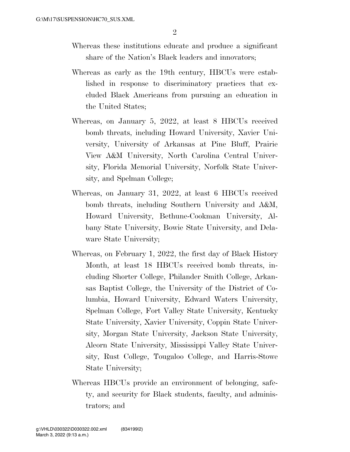- Whereas these institutions educate and produce a significant share of the Nation's Black leaders and innovators;
- Whereas as early as the 19th century, HBCUs were established in response to discriminatory practices that excluded Black Americans from pursuing an education in the United States;
- Whereas, on January 5, 2022, at least 8 HBCUs received bomb threats, including Howard University, Xavier University, University of Arkansas at Pine Bluff, Prairie View A&M University, North Carolina Central University, Florida Memorial University, Norfolk State University, and Spelman College;
- Whereas, on January 31, 2022, at least 6 HBCUs received bomb threats, including Southern University and A&M, Howard University, Bethune-Cookman University, Albany State University, Bowie State University, and Delaware State University;
- Whereas, on February 1, 2022, the first day of Black History Month, at least 18 HBCUs received bomb threats, including Shorter College, Philander Smith College, Arkansas Baptist College, the University of the District of Columbia, Howard University, Edward Waters University, Spelman College, Fort Valley State University, Kentucky State University, Xavier University, Coppin State University, Morgan State University, Jackson State University, Alcorn State University, Mississippi Valley State University, Rust College, Tougaloo College, and Harris-Stowe State University;
- Whereas HBCUs provide an environment of belonging, safety, and security for Black students, faculty, and administrators; and